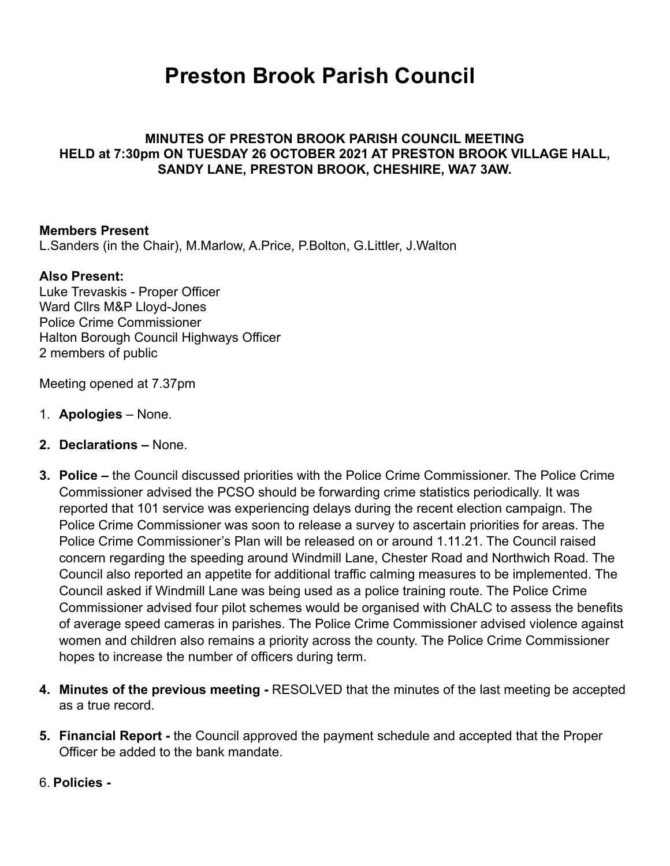# **Preston Brook Parish Council**

### **MINUTES OF PRESTON BROOK PARISH COUNCIL MEETING HELD at 7:30pm ON TUESDAY 26 OCTOBER 2021 AT PRESTON BROOK VILLAGE HALL, SANDY LANE, PRESTON BROOK, CHESHIRE, WA7 3AW.**

#### **Members Present**

L.Sanders (in the Chair), M.Marlow, A.Price, P.Bolton, G.Littler, J.Walton

#### **Also Present:**

Luke Trevaskis - Proper Officer Ward Cllrs M&P Lloyd-Jones Police Crime Commissioner Halton Borough Council Highways Officer 2 members of public

Meeting opened at 7.37pm

- 1. **Apologies** None.
- **2. Declarations** None.
- **3. Police** the Council discussed priorities with the Police Crime Commissioner. The Police Crime Commissioner advised the PCSO should be forwarding crime statistics periodically. It was reported that 101 service was experiencing delays during the recent election campaign. The Police Crime Commissioner was soon to release a survey to ascertain priorities for areas. The Police Crime Commissioner's Plan will be released on or around 1.11.21. The Council raised concern regarding the speeding around Windmill Lane, Chester Road and Northwich Road. The Council also reported an appetite for additional traffic calming measures to be implemented. The Council asked if Windmill Lane was being used as a police training route. The Police Crime Commissioner advised four pilot schemes would be organised with ChALC to assess the benefits of average speed cameras in parishes. The Police Crime Commissioner advised violence against women and children also remains a priority across the county. The Police Crime Commissioner hopes to increase the number of officers during term.
- **4. Minutes of the previous meeting** RESOLVED that the minutes of the last meeting be accepted as a true record.
- **5. Financial Report** the Council approved the payment schedule and accepted that the Proper Officer be added to the bank mandate.
- 6. **Policies**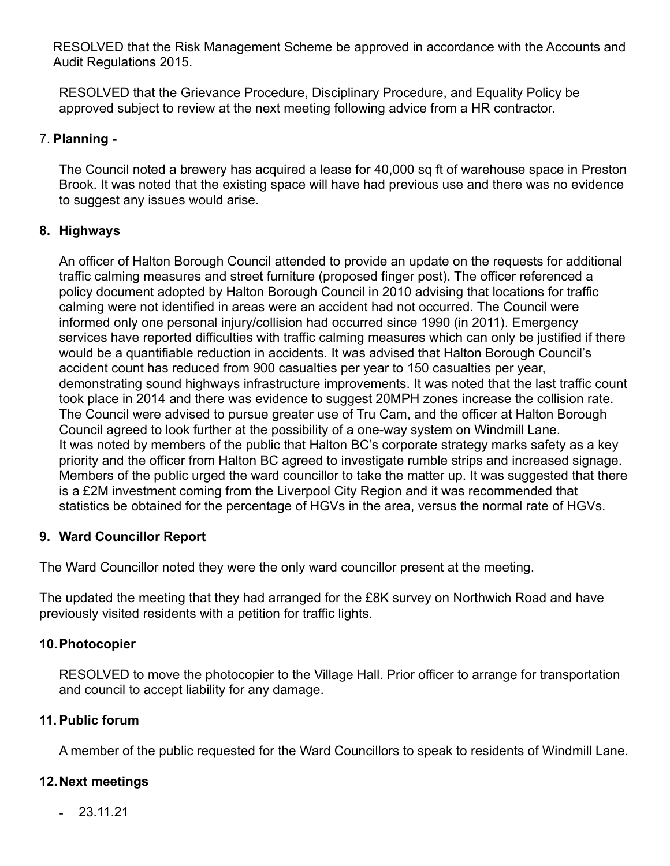RESOLVED that the Risk Management Scheme be approved in accordance with the Accounts and Audit Regulations 2015.

RESOLVED that the Grievance Procedure, Disciplinary Procedure, and Equality Policy be approved subject to review at the next meeting following advice from a HR contractor.

# 7. **Planning -**

The Council noted a brewery has acquired a lease for 40,000 sq ft of warehouse space in Preston Brook. It was noted that the existing space will have had previous use and there was no evidence to suggest any issues would arise.

# **8. Highways**

An officer of Halton Borough Council attended to provide an update on the requests for additional traffic calming measures and street furniture (proposed finger post). The officer referenced a policy document adopted by Halton Borough Council in 2010 advising that locations for traffic calming were not identified in areas were an accident had not occurred. The Council were informed only one personal injury/collision had occurred since 1990 (in 2011). Emergency services have reported difficulties with traffic calming measures which can only be justified if there would be a quantifiable reduction in accidents. It was advised that Halton Borough Council's accident count has reduced from 900 casualties per year to 150 casualties per year, demonstrating sound highways infrastructure improvements. It was noted that the last traffic count took place in 2014 and there was evidence to suggest 20MPH zones increase the collision rate. The Council were advised to pursue greater use of Tru Cam, and the officer at Halton Borough Council agreed to look further at the possibility of a one-way system on Windmill Lane. It was noted by members of the public that Halton BC's corporate strategy marks safety as a key priority and the officer from Halton BC agreed to investigate rumble strips and increased signage. Members of the public urged the ward councillor to take the matter up. It was suggested that there is a £2M investment coming from the Liverpool City Region and it was recommended that statistics be obtained for the percentage of HGVs in the area, versus the normal rate of HGVs.

# **9. Ward Councillor Report**

The Ward Councillor noted they were the only ward councillor present at the meeting.

The updated the meeting that they had arranged for the £8K survey on Northwich Road and have previously visited residents with a petition for traffic lights.

## **10.Photocopier**

RESOLVED to move the photocopier to the Village Hall. Prior officer to arrange for transportation and council to accept liability for any damage.

## **11.Public forum**

A member of the public requested for the Ward Councillors to speak to residents of Windmill Lane.

## **12.Next meetings**

- 23.11.21